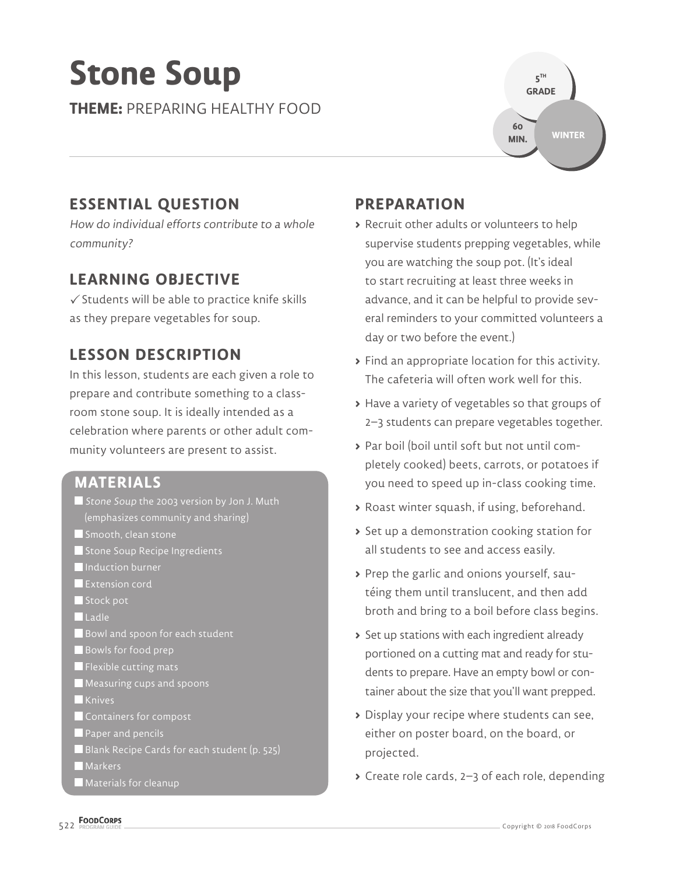# **Stone Soup**

**THEME:** PREPARING HEALTHY FOOD



## **ESSENTIAL QUESTION**

How do individual efforts contribute to a whole community?

## **LEARNING OBJECTIVE**

 $\checkmark$  Students will be able to practice knife skills as they prepare vegetables for soup.

## **LESSON DESCRIPTION**

In this lesson, students are each given a role to prepare and contribute something to a classroom stone soup. It is ideally intended as a celebration where parents or other adult community volunteers are present to assist.

## **MATERIALS**

- Stone Soup the 2003 version by Jon J. Muth (emphasizes community and sharing)
- Smooth, clean stone
- Stone Soup Recipe Ingredients
- **Induction burner**
- **Extension cord**
- Stock pot
- Ladle
- Bowl and spoon for each student
- Bowls for food prep
- **Flexible cutting mats**
- Measuring cups and spoons
- **Knives**
- Containers for compost
- **Paper and pencils**
- Blank Recipe Cards for each student (p. 525)

**Markers** 

Materials for cleanup

## **PREPARATION**

- **>** Recruit other adults or volunteers to help supervise students prepping vegetables, while you are watching the soup pot. (It's ideal to start recruiting at least three weeks in advance, and it can be helpful to provide several reminders to your committed volunteers a day or two before the event.)
- **>** Find an appropriate location for this activity. The cafeteria will often work well for this.
- **>** Have a variety of vegetables so that groups of 2–3 students can prepare vegetables together.
- **>** Par boil (boil until soft but not until completely cooked) beets, carrots, or potatoes if you need to speed up in-class cooking time.
- **>** Roast winter squash, if using, beforehand.
- **>** Set up a demonstration cooking station for all students to see and access easily.
- **>** Prep the garlic and onions yourself, sautéing them until translucent, and then add broth and bring to a boil before class begins.
- **>** Set up stations with each ingredient already portioned on a cutting mat and ready for students to prepare. Have an empty bowl or container about the size that you'll want prepped.
- **>** Display your recipe where students can see, either on poster board, on the board, or projected.
- **>** Create role cards, 2–3 of each role, depending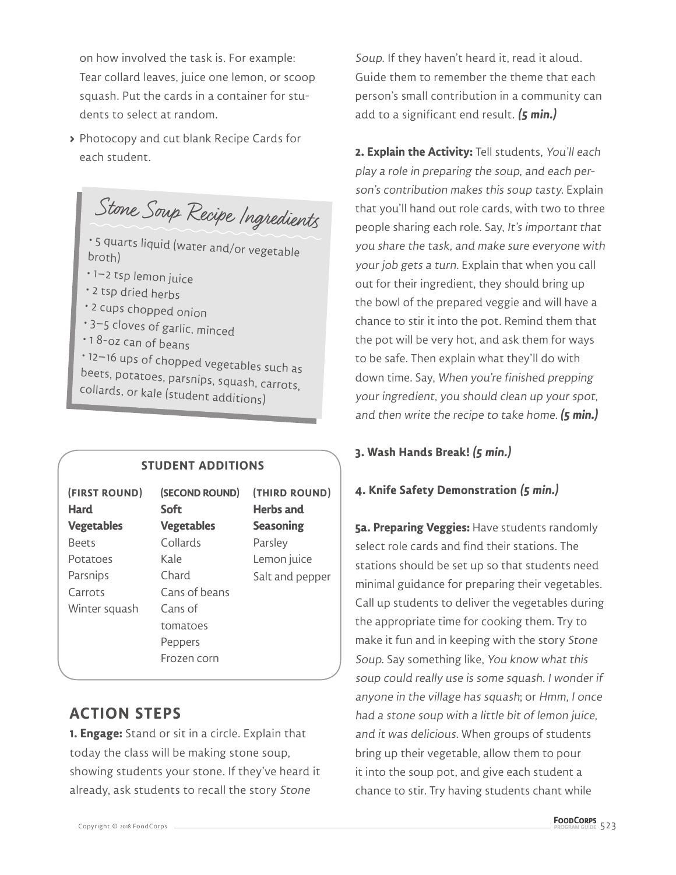on how involved the task is. For example: Tear collard leaves, juice one lemon, or scoop squash. Put the cards in a container for students to select at random.

**>** Photocopy and cut blank Recipe Cards for each student.

Stone Soup Recipe Ingredients

• 5 quarts liquid (water and/or vegetable broth)

- 1–2 tsp lemon juice
- 2 tsp dried herbs
- 2 cups chopped onion
- 3–5 cloves of garlic, minced
- 1 8-oz can of beans

• 12–16 ups of chopped vegetables such as beets, potatoes, parsnips, squash, carrots, collards, or kale (student additions)

#### **STUDENT ADDITIONS**

| (FIRST ROUND)<br>Hard | (SECOND ROUND)<br><b>Soft</b> | (THIRD ROUND)<br><b>Herbs</b> and |
|-----------------------|-------------------------------|-----------------------------------|
| <b>Vegetables</b>     | <b>Vegetables</b>             | <b>Seasoning</b>                  |
| <b>Beets</b>          | Collards                      | Parsley                           |
| Potatoes              | Kale                          | Lemon juice                       |
| Parsnips              | Chard                         | Salt and pepper                   |
| Carrots               | Cans of beans                 |                                   |
| Winter squash         | Cans of                       |                                   |
|                       | tomatoes                      |                                   |
|                       | Peppers                       |                                   |
|                       | Frozen corn                   |                                   |

### **ACTION STEPS**

**1. Engage:** Stand or sit in a circle. Explain that today the class will be making stone soup, showing students your stone. If they've heard it already, ask students to recall the story Stone

Soup. If they haven't heard it, read it aloud. Guide them to remember the theme that each person's small contribution in a community can add to a significant end result. **(5 min.)**

**2. Explain the Activity:** Tell students, You'll each play a role in preparing the soup, and each person's contribution makes this soup tasty. Explain that you'll hand out role cards, with two to three people sharing each role. Say, It's important that you share the task, and make sure everyone with your job gets a turn. Explain that when you call out for their ingredient, they should bring up the bowl of the prepared veggie and will have a chance to stir it into the pot. Remind them that the pot will be very hot, and ask them for ways to be safe. Then explain what they'll do with down time. Say, When you're finished prepping your ingredient, you should clean up your spot, and then write the recipe to take home. **(5 min.)**

#### **3. Wash Hands Break! (5 min.)**

#### **4. Knife Safety Demonstration (5 min.)**

**5a. Preparing Veggies:** Have students randomly select role cards and find their stations. The stations should be set up so that students need minimal guidance for preparing their vegetables. Call up students to deliver the vegetables during the appropriate time for cooking them. Try to make it fun and in keeping with the story Stone Soup. Say something like, You know what this soup could really use is some squash. I wonder if anyone in the village has squash; or Hmm, I once had a stone soup with a little bit of lemon juice, and it was delicious. When groups of students bring up their vegetable, allow them to pour it into the soup pot, and give each student a chance to stir. Try having students chant while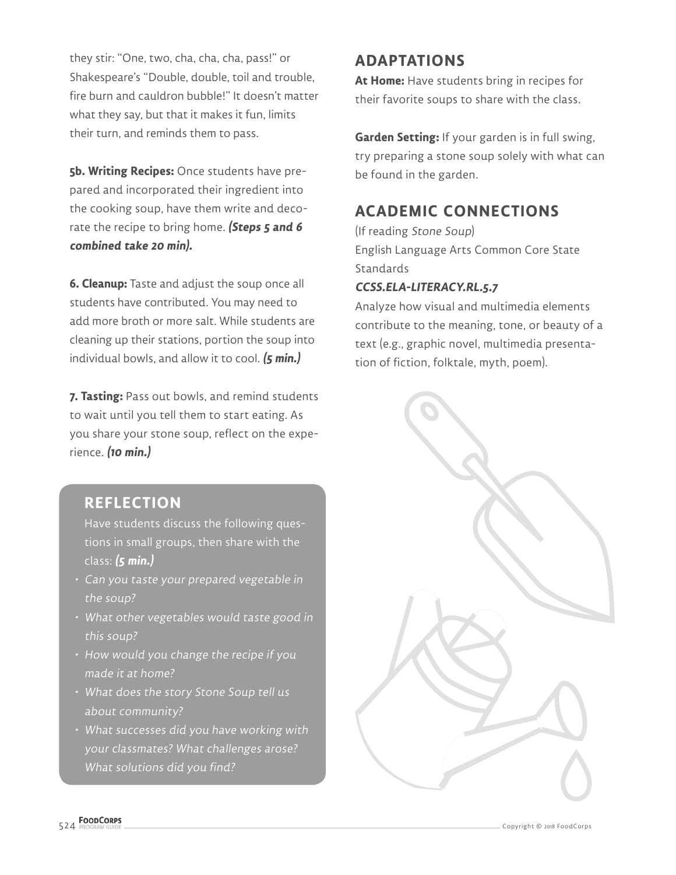they stir: "One, two, cha, cha, cha, pass!" or Shakespeare's "Double, double, toil and trouble, fire burn and cauldron bubble!" It doesn't matter what they say, but that it makes it fun, limits their turn, and reminds them to pass.

**5b. Writing Recipes:** Once students have prepared and incorporated their ingredient into the cooking soup, have them write and decorate the recipe to bring home. **(Steps 5 and 6 combined take 20 min).**

**6. Cleanup:** Taste and adjust the soup once all students have contributed. You may need to add more broth or more salt. While students are cleaning up their stations, portion the soup into individual bowls, and allow it to cool. **(5 min.)**

**7. Tasting:** Pass out bowls, and remind students to wait until you tell them to start eating. As you share your stone soup, reflect on the experience. **(10 min.)**

## **REFLECTION**

Have students discuss the following questions in small groups, then share with the class: **(5 min.)**

- Can you taste your prepared vegetable in the soup?
- What other vegetables would taste good in this soup?
- How would you change the recipe if you made it at home?
- What does the story Stone Soup tell us about community?
- What successes did you have working with your classmates? What challenges arose? What solutions did you find?

## **ADAPTATIONS**

**At Home:** Have students bring in recipes for their favorite soups to share with the class.

**Garden Setting:** If your garden is in full swing, try preparing a stone soup solely with what can be found in the garden.

## **ACADEMIC CONNECTIONS**

(If reading Stone Soup) English Language Arts Common Core State **Standards** 

#### **CCSS.ELA-LITERACY.RL.5.7**

Analyze how visual and multimedia elements contribute to the meaning, tone, or beauty of a text (e.g., graphic novel, multimedia presentation of fiction, folktale, myth, poem).